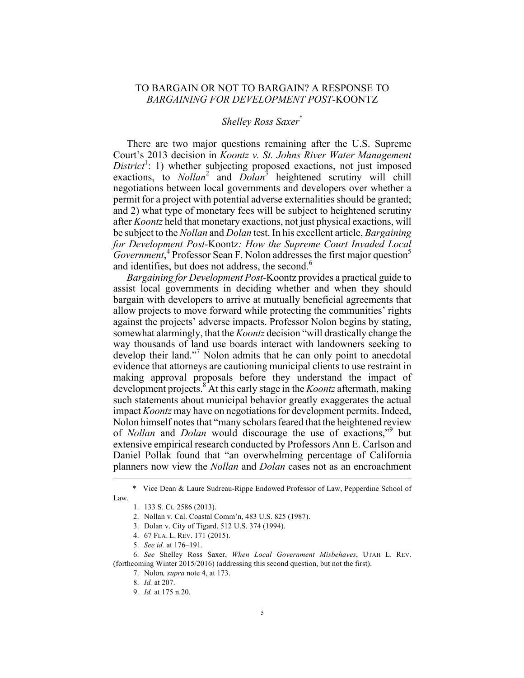## TO BARGAIN OR NOT TO BARGAIN? A RESPONSE TO *BARGAINING FOR DEVELOPMENT POST-*KOONTZ

## *Shelley Ross Saxer*\*

There are two major questions remaining after the U.S. Supreme Court's 2013 decision in *Koontz v. St. Johns River Water Management*   $District<sup>1</sup>$ : 1) whether subjecting proposed exactions, not just imposed exactions, to *Nollan*<sup>2</sup> and *Dolan*<sup>3</sup> heightened scrutiny will chill negotiations between local governments and developers over whether a permit for a project with potential adverse externalities should be granted; and 2) what type of monetary fees will be subject to heightened scrutiny after *Koontz* held that monetary exactions, not just physical exactions, will be subject to the *Nollan* and *Dolan* test. In his excellent article, *Bargaining for Development Post-*Koontz*: How the Supreme Court Invaded Local*  Government,<sup>4</sup> Professor Sean F. Nolon addresses the first major question<sup>5</sup> and identifies, but does not address, the second. $<sup>6</sup>$ </sup>

*Bargaining for Development Post-*Koontz provides a practical guide to assist local governments in deciding whether and when they should bargain with developers to arrive at mutually beneficial agreements that allow projects to move forward while protecting the communities' rights against the projects' adverse impacts. Professor Nolon begins by stating, somewhat alarmingly, that the *Koontz* decision "will drastically change the way thousands of land use boards interact with landowners seeking to develop their land."<sup>7</sup> Nolon admits that he can only point to anecdotal evidence that attorneys are cautioning municipal clients to use restraint in making approval proposals before they understand the impact of development projects.8 At this early stage in the *Koontz* aftermath, making such statements about municipal behavior greatly exaggerates the actual impact *Koontz* may have on negotiations for development permits. Indeed, Nolon himself notes that "many scholars feared that the heightened review of *Nollan* and *Dolan* would discourage the use of exactions," <sup>9</sup> but extensive empirical research conducted by Professors Ann E. Carlson and Daniel Pollak found that "an overwhelming percentage of California planners now view the *Nollan* and *Dolan* cases not as an encroachment

 <sup>\*</sup> Vice Dean & Laure Sudreau-Rippe Endowed Professor of Law, Pepperdine School of Law.

<sup>1.</sup> 133 S. Ct. 2586 (2013).

<sup>2.</sup> Nollan v. Cal. Coastal Comm'n, 483 U.S. 825 (1987).

<sup>3.</sup> Dolan v. City of Tigard, 512 U.S. 374 (1994).

<sup>4.</sup> 67 FLA. L. REV. 171 (2015).

<sup>5.</sup> *See id.* at 176–191.

<sup>6.</sup> *See* Shelley Ross Saxer, *When Local Government Misbehaves*, UTAH L. REV. (forthcoming Winter 2015/2016) (addressing this second question, but not the first).

<sup>7.</sup> Nolon*, supra* note 4, at 173.

<sup>8.</sup> *Id.* at 207.

<sup>9.</sup> *Id.* at 175 n.20.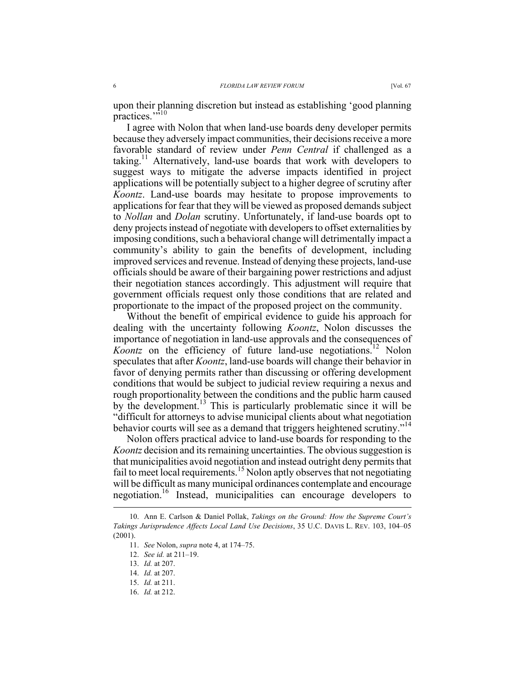upon their planning discretion but instead as establishing 'good planning practices.""10

I agree with Nolon that when land-use boards deny developer permits because they adversely impact communities, their decisions receive a more favorable standard of review under *Penn Central* if challenged as a taking.<sup>11</sup> Alternatively, land-use boards that work with developers to suggest ways to mitigate the adverse impacts identified in project applications will be potentially subject to a higher degree of scrutiny after *Koontz*. Land-use boards may hesitate to propose improvements to applications for fear that they will be viewed as proposed demands subject to *Nollan* and *Dolan* scrutiny. Unfortunately, if land-use boards opt to deny projects instead of negotiate with developers to offset externalities by imposing conditions, such a behavioral change will detrimentally impact a community's ability to gain the benefits of development, including improved services and revenue. Instead of denying these projects, land-use officials should be aware of their bargaining power restrictions and adjust their negotiation stances accordingly. This adjustment will require that government officials request only those conditions that are related and proportionate to the impact of the proposed project on the community.

Without the benefit of empirical evidence to guide his approach for dealing with the uncertainty following *Koontz*, Nolon discusses the importance of negotiation in land-use approvals and the consequences of *Koontz* on the efficiency of future land-use negotiations.<sup>12</sup> Nolon speculates that after *Koontz*, land-use boards will change their behavior in favor of denying permits rather than discussing or offering development conditions that would be subject to judicial review requiring a nexus and rough proportionality between the conditions and the public harm caused by the development.<sup>13</sup> This is particularly problematic since it will be "difficult for attorneys to advise municipal clients about what negotiation behavior courts will see as a demand that triggers heightened scrutiny."<sup>14</sup>

Nolon offers practical advice to land-use boards for responding to the *Koontz* decision and its remaining uncertainties. The obvious suggestion is that municipalities avoid negotiation and instead outright deny permits that fail to meet local requirements.<sup>15</sup> Nolon aptly observes that not negotiating will be difficult as many municipal ordinances contemplate and encourage negotiation.16 Instead, municipalities can encourage developers to

 <sup>10.</sup> Ann E. Carlson & Daniel Pollak, *Takings on the Ground: How the Supreme Court's Takings Jurisprudence Affects Local Land Use Decisions*, 35 U.C. DAVIS L. REV. 103, 104–05 (2001).

<sup>11.</sup> *See* Nolon, *supra* note 4, at 174–75.

<sup>12.</sup> *See id.* at 211–19.

<sup>13.</sup> *Id.* at 207.

<sup>14.</sup> *Id.* at 207.

<sup>15.</sup> *Id.* at 211.

<sup>16.</sup> *Id.* at 212.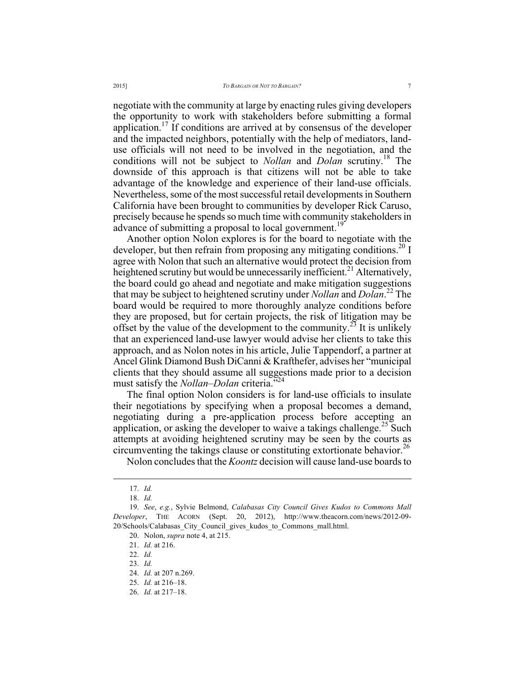negotiate with the community at large by enacting rules giving developers the opportunity to work with stakeholders before submitting a formal application.<sup>17</sup> If conditions are arrived at by consensus of the developer and the impacted neighbors, potentially with the help of mediators, landuse officials will not need to be involved in the negotiation, and the conditions will not be subject to *Nollan* and *Dolan* scrutiny.18 The downside of this approach is that citizens will not be able to take advantage of the knowledge and experience of their land-use officials. Nevertheless, some of the most successful retail developments in Southern California have been brought to communities by developer Rick Caruso, precisely because he spends so much time with community stakeholders in advance of submitting a proposal to local government.<sup>1</sup>

Another option Nolon explores is for the board to negotiate with the developer, but then refrain from proposing any mitigating conditions.<sup>20</sup> I agree with Nolon that such an alternative would protect the decision from heightened scrutiny but would be unnecessarily inefficient.<sup>21</sup> Alternatively, the board could go ahead and negotiate and make mitigation suggestions that may be subject to heightened scrutiny under *Nollan* and *Dolan*. <sup>22</sup> The board would be required to more thoroughly analyze conditions before they are proposed, but for certain projects, the risk of litigation may be offset by the value of the development to the community.<sup>23</sup> It is unlikely that an experienced land-use lawyer would advise her clients to take this approach, and as Nolon notes in his article, Julie Tappendorf, a partner at Ancel Glink Diamond Bush DiCanni & Krafthefer, advises her "municipal clients that they should assume all suggestions made prior to a decision must satisfy the *Nollan–Dolan* criteria." 24

The final option Nolon considers is for land-use officials to insulate their negotiations by specifying when a proposal becomes a demand, negotiating during a pre-application process before accepting an application, or asking the developer to waive a takings challenge.<sup>25</sup> Such attempts at avoiding heightened scrutiny may be seen by the courts as circumventing the takings clause or constituting extortionate behavior.<sup>26</sup>

Nolon concludes that the *Koontz* decision will cause land-use boards to

 <sup>17.</sup> *Id.*

<sup>18.</sup> *Id.*

<sup>19.</sup> *See*, *e.g.*, Sylvie Belmond, *Calabasas City Council Gives Kudos to Commons Mall Developer*, THE ACORN (Sept. 20, 2012), http://www.theacorn.com/news/2012-09- 20/Schools/Calabasas\_City\_Council\_gives\_kudos\_to\_Commons\_mall.html.

<sup>20.</sup> Nolon, *supra* note 4, at 215.

<sup>21.</sup> *Id.* at 216.

<sup>22.</sup> *Id.*

<sup>23.</sup> *Id.*

<sup>24.</sup> *Id.* at 207 n.269.

<sup>25.</sup> *Id.* at 216–18.

<sup>26.</sup> *Id.* at 217–18.